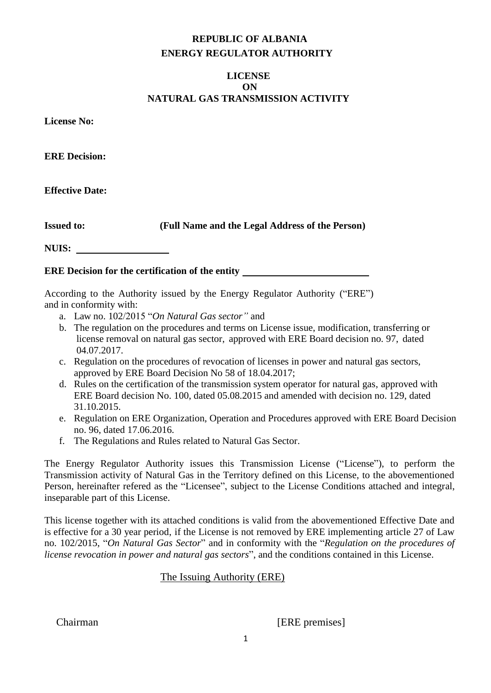# **REPUBLIC OF ALBANIA ENERGY REGULATOR AUTHORITY**

## **LICENSE ON NATURAL GAS TRANSMISSION ACTIVITY**

**License No:** 

**ERE Decision:** 

**Effective Date:**

**Issued to: (Full Name and the Legal Address of the Person)**

**NUIS:** 

## **ERE Decision for the certification of the entity**

According to the Authority issued by the Energy Regulator Authority ("ERE") and in conformity with:

- a. Law no. 102/2015 "*On Natural Gas sector"* and
- b. The regulation on the procedures and terms on License issue, modification, transferring or license removal on natural gas sector, approved with ERE Board decision no. 97, dated 04.07.2017.
- c. Regulation on the procedures of revocation of licenses in power and natural gas sectors, approved by ERE Board Decision No 58 of 18.04.2017;
- d. Rules on the certification of the transmission system operator for natural gas, approved with ERE Board decision No. 100, dated 05.08.2015 and amended with decision no. 129, dated 31.10.2015.
- e. Regulation on ERE Organization, Operation and Procedures approved with ERE Board Decision no. 96, dated 17.06.2016.
- f. The Regulations and Rules related to Natural Gas Sector.

The Energy Regulator Authority issues this Transmission License ("License"), to perform the Transmission activity of Natural Gas in the Territory defined on this License, to the abovementioned Person, hereinafter refered as the "Licensee", subject to the License Conditions attached and integral, inseparable part of this License.

This license together with its attached conditions is valid from the abovementioned Effective Date and is effective for a 30 year period, if the License is not removed by ERE implementing article 27 of Law no. 102/2015, "*On Natural Gas Sector*" and in conformity with the "*Regulation on the procedures of license revocation in power and natural gas sectors*", and the conditions contained in this License.

## The Issuing Authority (ERE)

Chairman [ERE premises]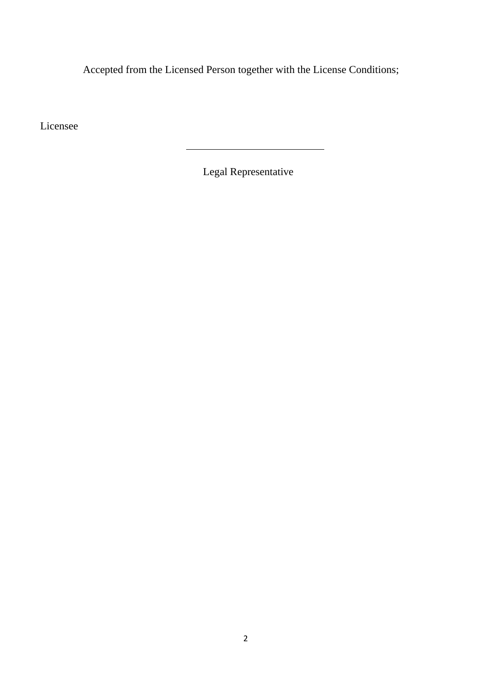Accepted from the Licensed Person together with the License Conditions;

Licensee

Legal Representative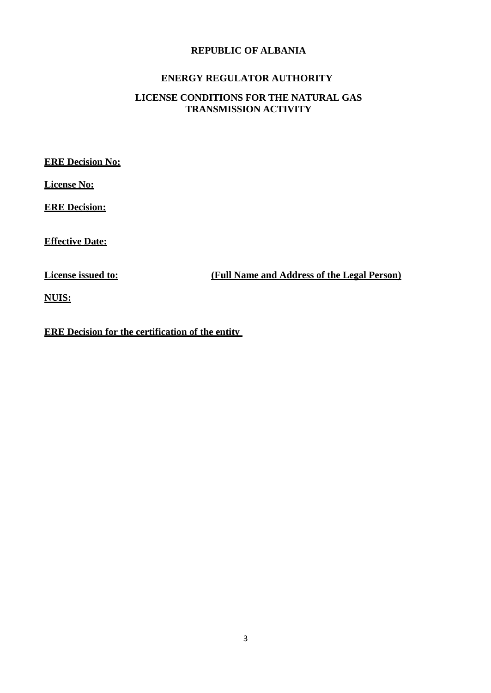## **REPUBLIC OF ALBANIA**

## **ENERGY REGULATOR AUTHORITY**

## **LICENSE CONDITIONS FOR THE NATURAL GAS TRANSMISSION ACTIVITY**

**ERE Decision No:**

**License No:**

**ERE Decision:**

**Effective Date:**

**License issued to: (Full Name and Address of the Legal Person)**

**NUIS:**

**ERE Decision for the certification of the entity**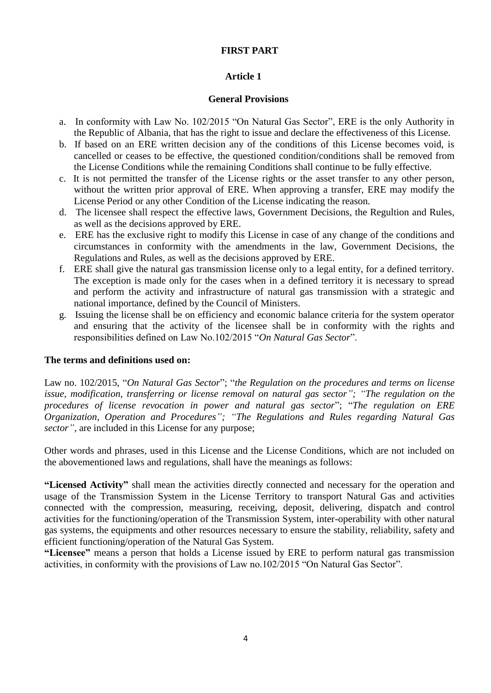## **FIRST PART**

## **Article 1**

### **General Provisions**

- a. In conformity with Law No. 102/2015 "On Natural Gas Sector", ERE is the only Authority in the Republic of Albania, that has the right to issue and declare the effectiveness of this License.
- b. If based on an ERE written decision any of the conditions of this License becomes void, is cancelled or ceases to be effective, the questioned condition/conditions shall be removed from the License Conditions while the remaining Conditions shall continue to be fully effective.
- c. It is not permitted the transfer of the License rights or the asset transfer to any other person, without the written prior approval of ERE. When approving a transfer, ERE may modify the License Period or any other Condition of the License indicating the reason.
- d. The licensee shall respect the effective laws, Government Decisions, the Regultion and Rules, as well as the decisions approved by ERE.
- e. ERE has the exclusive right to modify this License in case of any change of the conditions and circumstances in conformity with the amendments in the law, Government Decisions, the Regulations and Rules, as well as the decisions approved by ERE.
- f. ERE shall give the natural gas transmission license only to a legal entity, for a defined territory. The exception is made only for the cases when in a defined territory it is necessary to spread and perform the activity and infrastructure of natural gas transmission with a strategic and national importance, defined by the Council of Ministers.
- g. Issuing the license shall be on efficiency and economic balance criteria for the system operator and ensuring that the activity of the licensee shall be in conformity with the rights and responsibilities defined on Law No.102/2015 "*On Natural Gas Sector*".

### **The terms and definitions used on:**

Law no. 102/2015, "*On Natural Gas Sector*"; "*the Regulation on the procedures and terms on license issue, modification, transferring or license removal on natural gas sector"; "The regulation on the procedures of license revocation in power and natural gas sector*"; "*The regulation on ERE Organization, Operation and Procedures"; "The Regulations and Rules regarding Natural Gas sector",* are included in this License for any purpose;

Other words and phrases, used in this License and the License Conditions, which are not included on the abovementioned laws and regulations, shall have the meanings as follows:

**"Licensed Activity"** shall mean the activities directly connected and necessary for the operation and usage of the Transmission System in the License Territory to transport Natural Gas and activities connected with the compression, measuring, receiving, deposit, delivering, dispatch and control activities for the functioning/operation of the Transmission System, inter-operability with other natural gas systems, the equipments and other resources necessary to ensure the stability, reliability, safety and efficient functioning/operation of the Natural Gas System.

**"Licensee"** means a person that holds a License issued by ERE to perform natural gas transmission activities, in conformity with the provisions of Law no.102/2015 "On Natural Gas Sector".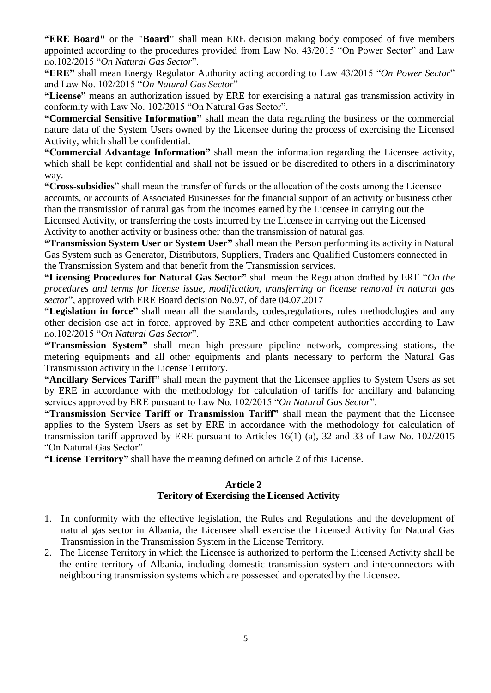**"ERE Board"** or the **"Board"** shall mean ERE decision making body composed of five members appointed according to the procedures provided from Law No. 43/2015 "On Power Sector" and Law no.102/2015 "*On Natural Gas Sector*".

**"ERE"** shall mean Energy Regulator Authority acting according to Law 43/2015 "*On Power Sector*" and Law No. 102/2015 "*On Natural Gas Sector*"

**"License"** means an authorization issued by ERE for exercising a natural gas transmission activity in conformity with Law No. 102/2015 "On Natural Gas Sector".

**"Commercial Sensitive Information"** shall mean the data regarding the business or the commercial nature data of the System Users owned by the Licensee during the process of exercising the Licensed Activity, which shall be confidential.

**"Commercial Advantage Information"** shall mean the information regarding the Licensee activity, which shall be kept confidential and shall not be issued or be discredited to others in a discriminatory way.

**"Cross-subsidies**" shall mean the transfer of funds or the allocation of the costs among the Licensee accounts, or accounts of Associated Businesses for the financial support of an activity or business other than the transmission of natural gas from the incomes earned by the Licensee in carrying out the Licensed Activity, or transferring the costs incurred by the Licensee in carrying out the Licensed Activity to another activity or business other than the transmission of natural gas.

**"Transmission System User or System User"** shall mean the Person performing its activity in Natural Gas System such as Generator, Distributors, Suppliers, Traders and Qualified Customers connected in the Transmission System and that benefit from the Transmission services.

**"Licensing Procedures for Natural Gas Sector"** shall mean the Regulation drafted by ERE "*On the procedures and terms for license issue, modification, transferring or license removal in natural gas sector*", approved with ERE Board decision No.97, of date 04.07.2017

**"Legislation in force"** shall mean all the standards, codes,regulations, rules methodologies and any other decision ose act in force, approved by ERE and other competent authorities according to Law no.102/2015 "*On Natural Gas Sector*".

**"Transmission System"** shall mean high pressure pipeline network, compressing stations, the metering equipments and all other equipments and plants necessary to perform the Natural Gas Transmission activity in the License Territory.

**"Ancillary Services Tariff"** shall mean the payment that the Licensee applies to System Users as set by ERE in accordance with the methodology for calculation of tariffs for ancillary and balancing services approved by ERE pursuant to Law No. 102/2015 "*On Natural Gas Sector*".

**"Transmission Service Tariff or Transmission Tariff"** shall mean the payment that the Licensee applies to the System Users as set by ERE in accordance with the methodology for calculation of transmission tariff approved by ERE pursuant to Articles 16(1) (a), 32 and 33 of Law No. 102/2015 "On Natural Gas Sector".

**"License Territory"** shall have the meaning defined on article 2 of this License.

#### **Article 2**

### **Teritory of Exercising the Licensed Activity**

- 1. In conformity with the effective legislation, the Rules and Regulations and the development of natural gas sector in Albania, the Licensee shall exercise the Licensed Activity for Natural Gas Transmission in the Transmission System in the License Territory.
- 2. The License Territory in which the Licensee is authorized to perform the Licensed Activity shall be the entire territory of Albania, including domestic transmission system and interconnectors with neighbouring transmission systems which are possessed and operated by the Licensee.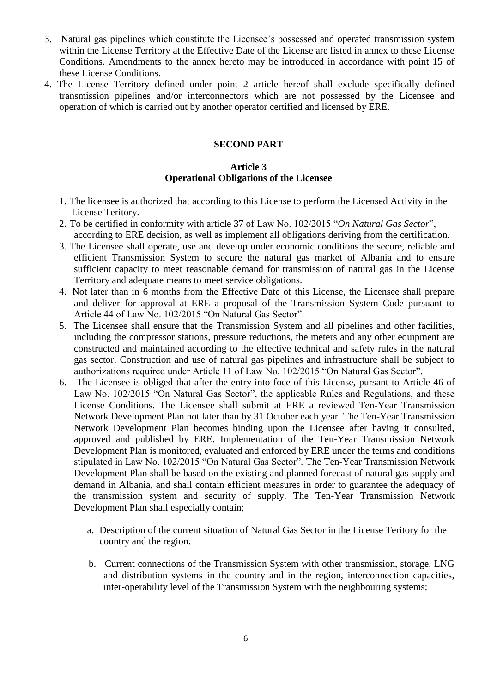- 3. Natural gas pipelines which constitute the Licensee's possessed and operated transmission system within the License Territory at the Effective Date of the License are listed in annex to these License Conditions. Amendments to the annex hereto may be introduced in accordance with point 15 of these License Conditions.
- 4. The License Territory defined under point 2 article hereof shall exclude specifically defined transmission pipelines and/or interconnectors which are not possessed by the Licensee and operation of which is carried out by another operator certified and licensed by ERE.

#### **SECOND PART**

### **Article 3 Operational Obligations of the Licensee**

- 1. The licensee is authorized that according to this License to perform the Licensed Activity in the License Teritory.
- 2. To be certified in conformity with article 37 of Law No. 102/2015 "*On Natural Gas Sector*", according to ERE decision, as well as implement all obligations deriving from the certification.
- 3. The Licensee shall operate, use and develop under economic conditions the secure, reliable and efficient Transmission System to secure the natural gas market of Albania and to ensure sufficient capacity to meet reasonable demand for transmission of natural gas in the License Territory and adequate means to meet service obligations.
- 4. Not later than in 6 months from the Effective Date of this License, the Licensee shall prepare and deliver for approval at ERE a proposal of the Transmission System Code pursuant to Article 44 of Law No. 102/2015 "On Natural Gas Sector".
- 5. The Licensee shall ensure that the Transmission System and all pipelines and other facilities, including the compressor stations, pressure reductions, the meters and any other equipment are constructed and maintained according to the effective technical and safety rules in the natural gas sector. Construction and use of natural gas pipelines and infrastructure shall be subject to authorizations required under Article 11 of Law No. 102/2015 "On Natural Gas Sector".
- 6. The Licensee is obliged that after the entry into foce of this License, pursant to Article 46 of Law No. 102/2015 "On Natural Gas Sector", the applicable Rules and Regulations, and these License Conditions. The Licensee shall submit at ERE a reviewed Ten-Year Transmission Network Development Plan not later than by 31 October each year. The Ten-Year Transmission Network Development Plan becomes binding upon the Licensee after having it consulted, approved and published by ERE. Implementation of the Ten-Year Transmission Network Development Plan is monitored, evaluated and enforced by ERE under the terms and conditions stipulated in Law No. 102/2015 "On Natural Gas Sector". The Ten-Year Transmission Network Development Plan shall be based on the existing and planned forecast of natural gas supply and demand in Albania, and shall contain efficient measures in order to guarantee the adequacy of the transmission system and security of supply. The Ten-Year Transmission Network Development Plan shall especially contain;
	- a. Description of the current situation of Natural Gas Sector in the License Teritory for the country and the region.
	- b. Current connections of the Transmission System with other transmission, storage, LNG and distribution systems in the country and in the region, interconnection capacities, inter-operability level of the Transmission System with the neighbouring systems;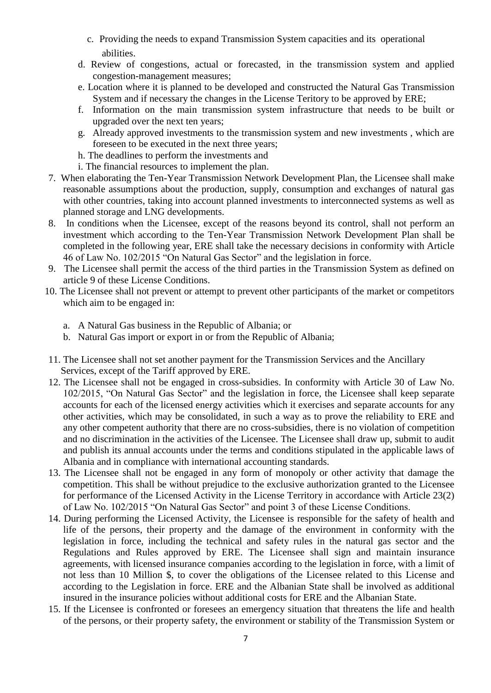- c. Providing the needs to expand Transmission System capacities and its operational abilities.
- d. Review of congestions, actual or forecasted, in the transmission system and applied congestion-management measures;
- e. Location where it is planned to be developed and constructed the Natural Gas Transmission System and if necessary the changes in the License Teritory to be approved by ERE;
- f. Information on the main transmission system infrastructure that needs to be built or upgraded over the next ten years;
- g. Already approved investments to the transmission system and new investments , which are foreseen to be executed in the next three years;
- h. The deadlines to perform the investments and
- i. The financial resources to implement the plan.
- 7. When elaborating the Ten-Year Transmission Network Development Plan, the Licensee shall make reasonable assumptions about the production, supply, consumption and exchanges of natural gas with other countries, taking into account planned investments to interconnected systems as well as planned storage and LNG developments.
- 8. In conditions when the Licensee, except of the reasons beyond its control, shall not perform an investment which according to the Ten-Year Transmission Network Development Plan shall be completed in the following year, ERE shall take the necessary decisions in conformity with Article 46 of Law No. 102/2015 "On Natural Gas Sector" and the legislation in force.
- 9. The Licensee shall permit the access of the third parties in the Transmission System as defined on article 9 of these License Conditions.
- 10. The Licensee shall not prevent or attempt to prevent other participants of the market or competitors which aim to be engaged in:
	- a. A Natural Gas business in the Republic of Albania; or
	- b. Natural Gas import or export in or from the Republic of Albania;
- 11. The Licensee shall not set another payment for the Transmission Services and the Ancillary Services, except of the Tariff approved by ERE.
- 12. The Licensee shall not be engaged in cross-subsidies. In conformity with Article 30 of Law No. 102/2015, "On Natural Gas Sector" and the legislation in force, the Licensee shall keep separate accounts for each of the licensed energy activities which it exercises and separate accounts for any other activities, which may be consolidated, in such a way as to prove the reliability to ERE and any other competent authority that there are no cross-subsidies, there is no violation of competition and no discrimination in the activities of the Licensee. The Licensee shall draw up, submit to audit and publish its annual accounts under the terms and conditions stipulated in the applicable laws of Albania and in compliance with international accounting standards.
- 13. The Licensee shall not be engaged in any form of monopoly or other activity that damage the competition. This shall be without prejudice to the exclusive authorization granted to the Licensee for performance of the Licensed Activity in the License Territory in accordance with Article 23(2) of Law No. 102/2015 "On Natural Gas Sector" and point 3 of these License Conditions.
- 14. During performing the Licensed Activity, the Licensee is responsible for the safety of health and life of the persons, their property and the damage of the environment in conformity with the legislation in force, including the technical and safety rules in the natural gas sector and the Regulations and Rules approved by ERE. The Licensee shall sign and maintain insurance agreements, with licensed insurance companies according to the legislation in force, with a limit of not less than 10 Million \$, to cover the obligations of the Licensee related to this License and according to the Legislation in force. ERE and the Albanian State shall be involved as additional insured in the insurance policies without additional costs for ERE and the Albanian State.
- 15. If the Licensee is confronted or foresees an emergency situation that threatens the life and health of the persons, or their property safety, the environment or stability of the Transmission System or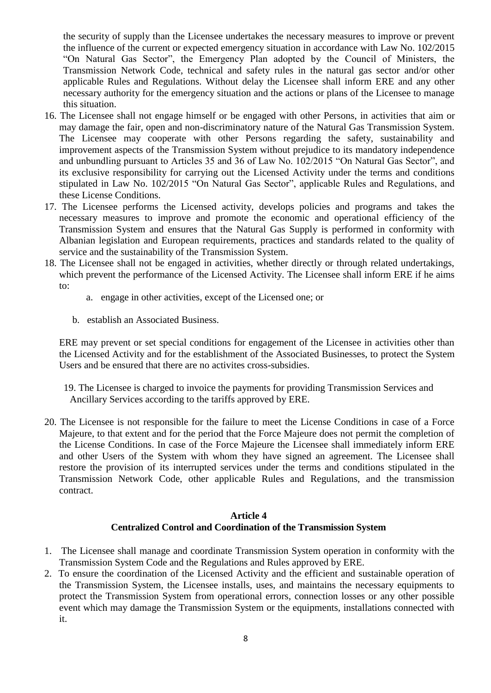the security of supply than the Licensee undertakes the necessary measures to improve or prevent the influence of the current or expected emergency situation in accordance with Law No. 102/2015 "On Natural Gas Sector", the Emergency Plan adopted by the Council of Ministers, the Transmission Network Code, technical and safety rules in the natural gas sector and/or other applicable Rules and Regulations. Without delay the Licensee shall inform ERE and any other necessary authority for the emergency situation and the actions or plans of the Licensee to manage this situation.

- 16. The Licensee shall not engage himself or be engaged with other Persons, in activities that aim or may damage the fair, open and non-discriminatory nature of the Natural Gas Transmission System. The Licensee may cooperate with other Persons regarding the safety, sustainability and improvement aspects of the Transmission System without prejudice to its mandatory independence and unbundling pursuant to Articles 35 and 36 of Law No. 102/2015 "On Natural Gas Sector", and its exclusive responsibility for carrying out the Licensed Activity under the terms and conditions stipulated in Law No. 102/2015 "On Natural Gas Sector", applicable Rules and Regulations, and these License Conditions.
- 17. The Licensee performs the Licensed activity, develops policies and programs and takes the necessary measures to improve and promote the economic and operational efficiency of the Transmission System and ensures that the Natural Gas Supply is performed in conformity with Albanian legislation and European requirements, practices and standards related to the quality of service and the sustainability of the Transmission System.
- 18. The Licensee shall not be engaged in activities, whether directly or through related undertakings, which prevent the performance of the Licensed Activity. The Licensee shall inform ERE if he aims to:
	- a. engage in other activities, except of the Licensed one; or
	- b. establish an Associated Business.

ERE may prevent or set special conditions for engagement of the Licensee in activities other than the Licensed Activity and for the establishment of the Associated Businesses, to protect the System Users and be ensured that there are no activites cross-subsidies.

- 19. The Licensee is charged to invoice the payments for providing Transmission Services and Ancillary Services according to the tariffs approved by ERE.
- 20. The Licensee is not responsible for the failure to meet the License Conditions in case of a Force Majeure, to that extent and for the period that the Force Majeure does not permit the completion of the License Conditions. In case of the Force Majeure the Licensee shall immediately inform ERE and other Users of the System with whom they have signed an agreement. The Licensee shall restore the provision of its interrupted services under the terms and conditions stipulated in the Transmission Network Code, other applicable Rules and Regulations, and the transmission contract.

## **Article 4 Centralized Control and Coordination of the Transmission System**

- 1. The Licensee shall manage and coordinate Transmission System operation in conformity with the Transmission System Code and the Regulations and Rules approved by ERE.
- 2. To ensure the coordination of the Licensed Activity and the efficient and sustainable operation of the Transmission System, the Licensee installs, uses, and maintains the necessary equipments to protect the Transmission System from operational errors, connection losses or any other possible event which may damage the Transmission System or the equipments, installations connected with it.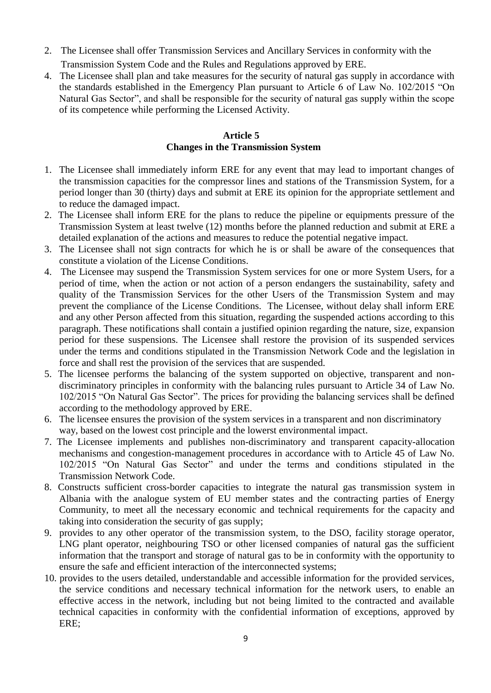- 2. The Licensee shall offer Transmission Services and Ancillary Services in conformity with the Transmission System Code and the Rules and Regulations approved by ERE.
- 4. The Licensee shall plan and take measures for the security of natural gas supply in accordance with the standards established in the Emergency Plan pursuant to Article 6 of Law No. 102/2015 "On Natural Gas Sector", and shall be responsible for the security of natural gas supply within the scope of its competence while performing the Licensed Activity.

## **Article 5 Changes in the Transmission System**

- 1. The Licensee shall immediately inform ERE for any event that may lead to important changes of the transmission capacities for the compressor lines and stations of the Transmission System, for a period longer than 30 (thirty) days and submit at ERE its opinion for the appropriate settlement and to reduce the damaged impact.
- 2. The Licensee shall inform ERE for the plans to reduce the pipeline or equipments pressure of the Transmission System at least twelve (12) months before the planned reduction and submit at ERE a detailed explanation of the actions and measures to reduce the potential negative impact.
- 3. The Licensee shall not sign contracts for which he is or shall be aware of the consequences that constitute a violation of the License Conditions.
- 4. The Licensee may suspend the Transmission System services for one or more System Users, for a period of time, when the action or not action of a person endangers the sustainability, safety and quality of the Transmission Services for the other Users of the Transmission System and may prevent the compliance of the License Conditions. The Licensee, without delay shall inform ERE and any other Person affected from this situation, regarding the suspended actions according to this paragraph. These notifications shall contain a justified opinion regarding the nature, size, expansion period for these suspensions. The Licensee shall restore the provision of its suspended services under the terms and conditions stipulated in the Transmission Network Code and the legislation in force and shall rest the provision of the services that are suspended.
- 5. The licensee performs the balancing of the system supported on objective, transparent and nondiscriminatory principles in conformity with the balancing rules pursuant to Article 34 of Law No. 102/2015 "On Natural Gas Sector". The prices for providing the balancing services shall be defined according to the methodology approved by ERE.
- 6. The licensee ensures the provision of the system services in a transparent and non discriminatory way, based on the lowest cost principle and the lowerst environmental impact.
- 7. The Licensee implements and publishes non-discriminatory and transparent capacity-allocation mechanisms and congestion-management procedures in accordance with to Article 45 of Law No. 102/2015 "On Natural Gas Sector" and under the terms and conditions stipulated in the Transmission Network Code.
- 8. Constructs sufficient cross-border capacities to integrate the natural gas transmission system in Albania with the analogue system of EU member states and the contracting parties of Energy Community, to meet all the necessary economic and technical requirements for the capacity and taking into consideration the security of gas supply;
- 9. provides to any other operator of the transmission system, to the DSO, facility storage operator, LNG plant operator, neighbouring TSO or other licensed companies of natural gas the sufficient information that the transport and storage of natural gas to be in conformity with the opportunity to ensure the safe and efficient interaction of the interconnected systems;
- 10. provides to the users detailed, understandable and accessible information for the provided services, the service conditions and necessary technical information for the network users, to enable an effective access in the network, including but not being limited to the contracted and available technical capacities in conformity with the confidential information of exceptions, approved by ERE;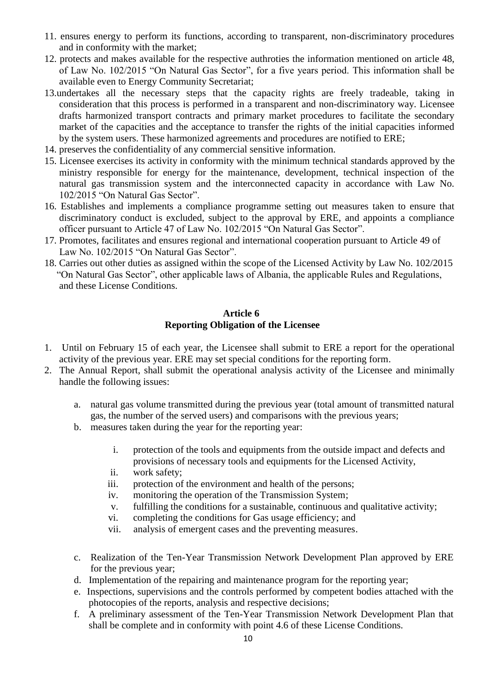- 11. ensures energy to perform its functions, according to transparent, non-discriminatory procedures and in conformity with the market;
- 12. protects and makes available for the respective authroties the information mentioned on article 48, of Law No. 102/2015 "On Natural Gas Sector", for a five years period. This information shall be available even to Energy Community Secretariat;
- 13.undertakes all the necessary steps that the capacity rights are freely tradeable, taking in consideration that this process is performed in a transparent and non-discriminatory way. Licensee drafts harmonized transport contracts and primary market procedures to facilitate the secondary market of the capacities and the acceptance to transfer the rights of the initial capacities informed by the system users. These harmonized agreements and procedures are notified to ERE;
- 14. preserves the confidentiality of any commercial sensitive information.
- 15. Licensee exercises its activity in conformity with the minimum technical standards approved by the ministry responsible for energy for the maintenance, development, technical inspection of the natural gas transmission system and the interconnected capacity in accordance with Law No. 102/2015 "On Natural Gas Sector".
- 16. Establishes and implements a compliance programme setting out measures taken to ensure that discriminatory conduct is excluded, subject to the approval by ERE, and appoints a compliance officer pursuant to Article 47 of Law No. 102/2015 "On Natural Gas Sector".
- 17. Promotes, facilitates and ensures regional and international cooperation pursuant to Article 49 of Law No. 102/2015 "On Natural Gas Sector".
- 18. Carries out other duties as assigned within the scope of the Licensed Activity by Law No. 102/2015 "On Natural Gas Sector", other applicable laws of Albania, the applicable Rules and Regulations, and these License Conditions.

#### **Article 6 Reporting Obligation of the Licensee**

- 1. Until on February 15 of each year, the Licensee shall submit to ERE a report for the operational activity of the previous year. ERE may set special conditions for the reporting form.
- 2. The Annual Report, shall submit the operational analysis activity of the Licensee and minimally handle the following issues:
	- a. natural gas volume transmitted during the previous year (total amount of transmitted natural gas, the number of the served users) and comparisons with the previous years;
	- b. measures taken during the year for the reporting year:
		- i. protection of the tools and equipments from the outside impact and defects and provisions of necessary tools and equipments for the Licensed Activity,
		- ii. work safety;
		- iii. protection of the environment and health of the persons;
		- iv. monitoring the operation of the Transmission System;
		- v. fulfilling the conditions for a sustainable, continuous and qualitative activity;
		- vi. completing the conditions for Gas usage efficiency; and
		- vii. analysis of emergent cases and the preventing measures.
	- c. Realization of the Ten-Year Transmission Network Development Plan approved by ERE for the previous year;
	- d. Implementation of the repairing and maintenance program for the reporting year;
	- e. Inspections, supervisions and the controls performed by competent bodies attached with the photocopies of the reports, analysis and respective decisions;
	- f. A preliminary assessment of the Ten-Year Transmission Network Development Plan that shall be complete and in conformity with point 4.6 of these License Conditions.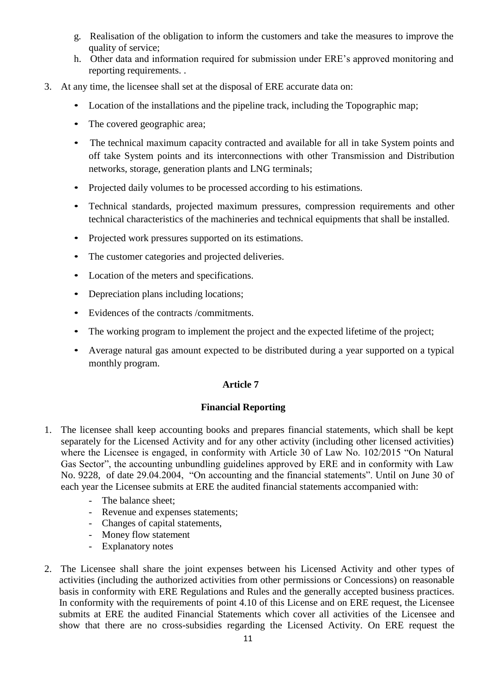- g. Realisation of the obligation to inform the customers and take the measures to improve the quality of service;
- h. Other data and information required for submission under ERE's approved monitoring and reporting requirements. .
- 3. At any time, the licensee shall set at the disposal of ERE accurate data on:
	- Location of the installations and the pipeline track, including the Topographic map;
	- The covered geographic area;
	- The technical maximum capacity contracted and available for all in take System points and off take System points and its interconnections with other Transmission and Distribution networks, storage, generation plants and LNG terminals;
	- Projected daily volumes to be processed according to his estimations.
	- Technical standards, projected maximum pressures, compression requirements and other technical characteristics of the machineries and technical equipments that shall be installed.
	- Projected work pressures supported on its estimations.
	- The customer categories and projected deliveries.
	- Location of the meters and specifications.
	- Depreciation plans including locations;
	- Evidences of the contracts /commitments.
	- The working program to implement the project and the expected lifetime of the project;
	- Average natural gas amount expected to be distributed during a year supported on a typical monthly program.

### **Article 7**

### **Financial Reporting**

- 1. The licensee shall keep accounting books and prepares financial statements, which shall be kept separately for the Licensed Activity and for any other activity (including other licensed activities) where the Licensee is engaged, in conformity with Article 30 of Law No. 102/2015 "On Natural Gas Sector", the accounting unbundling guidelines approved by ERE and in conformity with Law No. 9228, of date 29.04.2004, "On accounting and the financial statements". Until on June 30 of each year the Licensee submits at ERE the audited financial statements accompanied with:
	- The balance sheet;
	- Revenue and expenses statements;
	- Changes of capital statements,
	- Money flow statement
	- Explanatory notes
- 2. The Licensee shall share the joint expenses between his Licensed Activity and other types of activities (including the authorized activities from other permissions or Concessions) on reasonable basis in conformity with ERE Regulations and Rules and the generally accepted business practices. In conformity with the requirements of point 4.10 of this License and on ERE request, the Licensee submits at ERE the audited Financial Statements which cover all activities of the Licensee and show that there are no cross-subsidies regarding the Licensed Activity. On ERE request the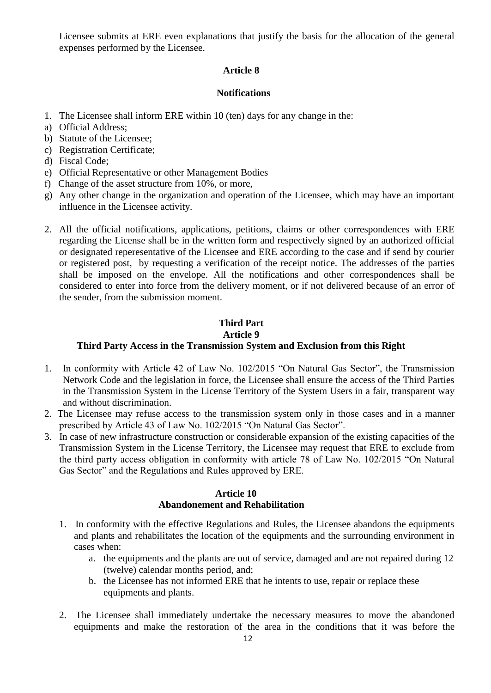Licensee submits at ERE even explanations that justify the basis for the allocation of the general expenses performed by the Licensee.

## **Article 8**

## **Notifications**

- 1. The Licensee shall inform ERE within 10 (ten) days for any change in the:
- a) Official Address;
- b) Statute of the Licensee;
- c) Registration Certificate;
- d) Fiscal Code;
- e) Official Representative or other Management Bodies
- f) Change of the asset structure from 10%, or more,
- g) Any other change in the organization and operation of the Licensee, which may have an important influence in the Licensee activity.
- 2. All the official notifications, applications, petitions, claims or other correspondences with ERE regarding the License shall be in the written form and respectively signed by an authorized official or designated reperesentative of the Licensee and ERE according to the case and if send by courier or registered post, by requesting a verification of the receipt notice. The addresses of the parties shall be imposed on the envelope. All the notifications and other correspondences shall be considered to enter into force from the delivery moment, or if not delivered because of an error of the sender, from the submission moment.

## **Third Part Article 9 Third Party Access in the Transmission System and Exclusion from this Right**

- 1. In conformity with Article 42 of Law No. 102/2015 "On Natural Gas Sector", the Transmission Network Code and the legislation in force, the Licensee shall ensure the access of the Third Parties in the Transmission System in the License Territory of the System Users in a fair, transparent way and without discrimination.
- 2. The Licensee may refuse access to the transmission system only in those cases and in a manner prescribed by Article 43 of Law No. 102/2015 "On Natural Gas Sector".
- 3. In case of new infrastructure construction or considerable expansion of the existing capacities of the Transmission System in the License Territory, the Licensee may request that ERE to exclude from the third party access obligation in conformity with article 78 of Law No. 102/2015 "On Natural Gas Sector" and the Regulations and Rules approved by ERE.

## **Article 10 Abandonement and Rehabilitation**

- 1. In conformity with the effective Regulations and Rules, the Licensee abandons the equipments and plants and rehabilitates the location of the equipments and the surrounding environment in cases when:
	- a. the equipments and the plants are out of service, damaged and are not repaired during 12 (twelve) calendar months period, and;
	- b. the Licensee has not informed ERE that he intents to use, repair or replace these equipments and plants.
- 2. The Licensee shall immediately undertake the necessary measures to move the abandoned equipments and make the restoration of the area in the conditions that it was before the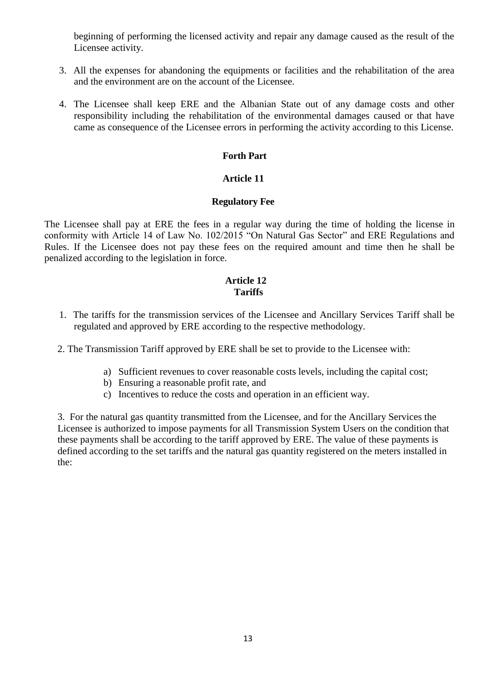beginning of performing the licensed activity and repair any damage caused as the result of the Licensee activity.

- 3. All the expenses for abandoning the equipments or facilities and the rehabilitation of the area and the environment are on the account of the Licensee.
- 4. The Licensee shall keep ERE and the Albanian State out of any damage costs and other responsibility including the rehabilitation of the environmental damages caused or that have came as consequence of the Licensee errors in performing the activity according to this License.

### **Forth Part**

## **Article 11**

#### **Regulatory Fee**

The Licensee shall pay at ERE the fees in a regular way during the time of holding the license in conformity with Article 14 of Law No. 102/2015 "On Natural Gas Sector" and ERE Regulations and Rules. If the Licensee does not pay these fees on the required amount and time then he shall be penalized according to the legislation in force.

#### **Article 12 Tariffs**

1. The tariffs for the transmission services of the Licensee and Ancillary Services Tariff shall be regulated and approved by ERE according to the respective methodology.

2. The Transmission Tariff approved by ERE shall be set to provide to the Licensee with:

- a) Sufficient revenues to cover reasonable costs levels, including the capital cost;
- b) Ensuring a reasonable profit rate, and
- c) Incentives to reduce the costs and operation in an efficient way.

3. For the natural gas quantity transmitted from the Licensee, and for the Ancillary Services the Licensee is authorized to impose payments for all Transmission System Users on the condition that these payments shall be according to the tariff approved by ERE. The value of these payments is defined according to the set tariffs and the natural gas quantity registered on the meters installed in the: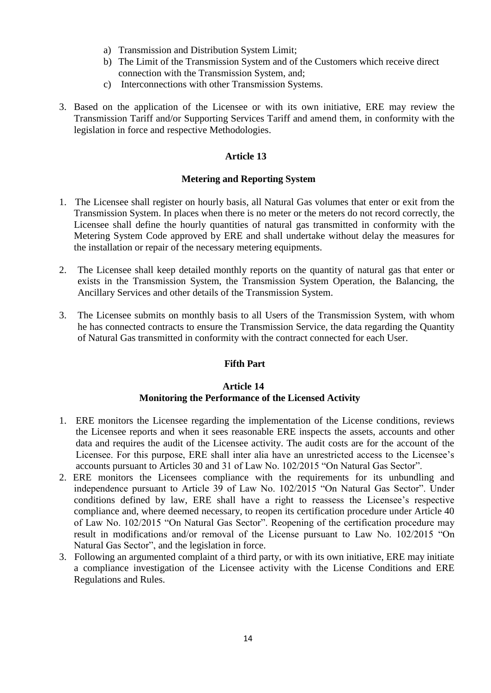- a) Transmission and Distribution System Limit;
- b) The Limit of the Transmission System and of the Customers which receive direct connection with the Transmission System, and;
- c) Interconnections with other Transmission Systems.
- 3. Based on the application of the Licensee or with its own initiative, ERE may review the Transmission Tariff and/or Supporting Services Tariff and amend them, in conformity with the legislation in force and respective Methodologies.

### **Article 13**

### **Metering and Reporting System**

- 1. The Licensee shall register on hourly basis, all Natural Gas volumes that enter or exit from the Transmission System. In places when there is no meter or the meters do not record correctly, the Licensee shall define the hourly quantities of natural gas transmitted in conformity with the Metering System Code approved by ERE and shall undertake without delay the measures for the installation or repair of the necessary metering equipments.
- 2. The Licensee shall keep detailed monthly reports on the quantity of natural gas that enter or exists in the Transmission System, the Transmission System Operation, the Balancing, the Ancillary Services and other details of the Transmission System.
- 3. The Licensee submits on monthly basis to all Users of the Transmission System, with whom he has connected contracts to ensure the Transmission Service, the data regarding the Quantity of Natural Gas transmitted in conformity with the contract connected for each User.

### **Fifth Part**

### **Article 14**

## **Monitoring the Performance of the Licensed Activity**

- 1. ERE monitors the Licensee regarding the implementation of the License conditions, reviews the Licensee reports and when it sees reasonable ERE inspects the assets, accounts and other data and requires the audit of the Licensee activity. The audit costs are for the account of the Licensee. For this purpose, ERE shall inter alia have an unrestricted access to the Licensee's accounts pursuant to Articles 30 and 31 of Law No. 102/2015 "On Natural Gas Sector".
- 2. ERE monitors the Licensees compliance with the requirements for its unbundling and independence pursuant to Article 39 of Law No. 102/2015 "On Natural Gas Sector". Under conditions defined by law, ERE shall have a right to reassess the Licensee's respective compliance and, where deemed necessary, to reopen its certification procedure under Article 40 of Law No. 102/2015 "On Natural Gas Sector". Reopening of the certification procedure may result in modifications and/or removal of the License pursuant to Law No. 102/2015 "On Natural Gas Sector", and the legislation in force.
- 3. Following an argumented complaint of a third party, or with its own initiative, ERE may initiate a compliance investigation of the Licensee activity with the License Conditions and ERE Regulations and Rules.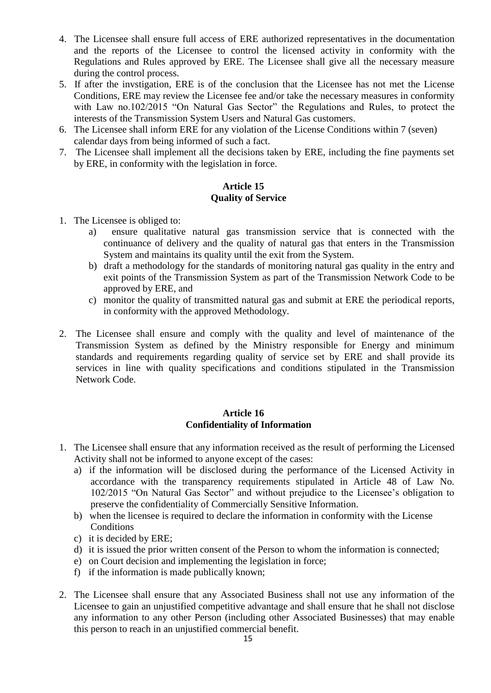- 4. The Licensee shall ensure full access of ERE authorized representatives in the documentation and the reports of the Licensee to control the licensed activity in conformity with the Regulations and Rules approved by ERE. The Licensee shall give all the necessary measure during the control process.
- 5. If after the invstigation, ERE is of the conclusion that the Licensee has not met the License Conditions, ERE may review the Licensee fee and/or take the necessary measures in conformity with Law no.102/2015 "On Natural Gas Sector" the Regulations and Rules, to protect the interests of the Transmission System Users and Natural Gas customers.
- 6. The Licensee shall inform ERE for any violation of the License Conditions within 7 (seven) calendar days from being informed of such a fact.
- 7. The Licensee shall implement all the decisions taken by ERE, including the fine payments set by ERE, in conformity with the legislation in force.

## **Article 15 Quality of Service**

- 1. The Licensee is obliged to:
	- a) ensure qualitative natural gas transmission service that is connected with the continuance of delivery and the quality of natural gas that enters in the Transmission System and maintains its quality until the exit from the System.
	- b) draft a methodology for the standards of monitoring natural gas quality in the entry and exit points of the Transmission System as part of the Transmission Network Code to be approved by ERE, and
	- c) monitor the quality of transmitted natural gas and submit at ERE the periodical reports, in conformity with the approved Methodology.
- 2. The Licensee shall ensure and comply with the quality and level of maintenance of the Transmission System as defined by the Ministry responsible for Energy and minimum standards and requirements regarding quality of service set by ERE and shall provide its services in line with quality specifications and conditions stipulated in the Transmission Network Code.

### **Article 16 Confidentiality of Information**

- 1. The Licensee shall ensure that any information received as the result of performing the Licensed Activity shall not be informed to anyone except of the cases:
	- a) if the information will be disclosed during the performance of the Licensed Activity in accordance with the transparency requirements stipulated in Article 48 of Law No. 102/2015 "On Natural Gas Sector" and without prejudice to the Licensee's obligation to preserve the confidentiality of Commercially Sensitive Information.
	- b) when the licensee is required to declare the information in conformity with the License **Conditions**
	- c) it is decided by ERE;
	- d) it is issued the prior written consent of the Person to whom the information is connected;
	- e) on Court decision and implementing the legislation in force;
	- f) if the information is made publically known;
- 2. The Licensee shall ensure that any Associated Business shall not use any information of the Licensee to gain an unjustified competitive advantage and shall ensure that he shall not disclose any information to any other Person (including other Associated Businesses) that may enable this person to reach in an unjustified commercial benefit.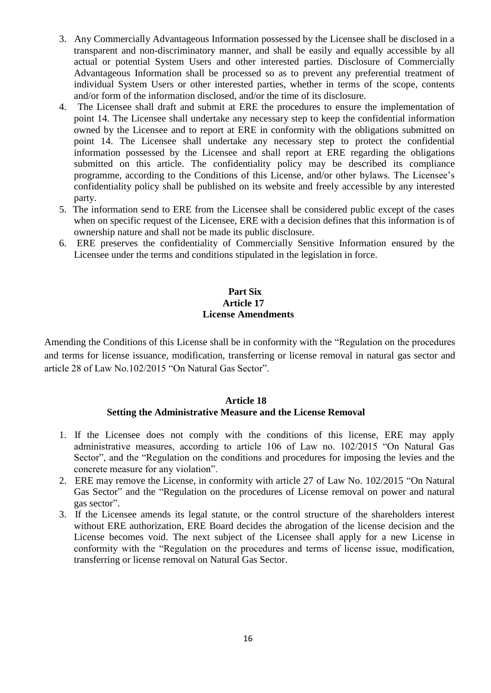- 3. Any Commercially Advantageous Information possessed by the Licensee shall be disclosed in a transparent and non-discriminatory manner, and shall be easily and equally accessible by all actual or potential System Users and other interested parties. Disclosure of Commercially Advantageous Information shall be processed so as to prevent any preferential treatment of individual System Users or other interested parties, whether in terms of the scope, contents and/or form of the information disclosed, and/or the time of its disclosure.
- 4. The Licensee shall draft and submit at ERE the procedures to ensure the implementation of point 14. The Licensee shall undertake any necessary step to keep the confidential information owned by the Licensee and to report at ERE in conformity with the obligations submitted on point 14. The Licensee shall undertake any necessary step to protect the confidential information possessed by the Licensee and shall report at ERE regarding the obligations submitted on this article. The confidentiality policy may be described its compliance programme, according to the Conditions of this License, and/or other bylaws. The Licensee's confidentiality policy shall be published on its website and freely accessible by any interested party.
- 5. The information send to ERE from the Licensee shall be considered public except of the cases when on specific request of the Licensee, ERE with a decision defines that this information is of ownership nature and shall not be made its public disclosure.
- 6. ERE preserves the confidentiality of Commercially Sensitive Information ensured by the Licensee under the terms and conditions stipulated in the legislation in force.

## **Part Six Article 17 License Amendments**

Amending the Conditions of this License shall be in conformity with the "Regulation on the procedures and terms for license issuance, modification, transferring or license removal in natural gas sector and article 28 of Law No.102/2015 "On Natural Gas Sector".

#### **Article 18 Setting the Administrative Measure and the License Removal**

- 1. If the Licensee does not comply with the conditions of this license, ERE may apply administrative measures, according to article 106 of Law no. 102/2015 "On Natural Gas Sector", and the "Regulation on the conditions and procedures for imposing the levies and the concrete measure for any violation".
- 2. ERE may remove the License, in conformity with article 27 of Law No. 102/2015 "On Natural Gas Sector" and the "Regulation on the procedures of License removal on power and natural gas sector".
- 3. If the Licensee amends its legal statute, or the control structure of the shareholders interest without ERE authorization, ERE Board decides the abrogation of the license decision and the License becomes void. The next subject of the Licensee shall apply for a new License in conformity with the "Regulation on the procedures and terms of license issue, modification, transferring or license removal on Natural Gas Sector.